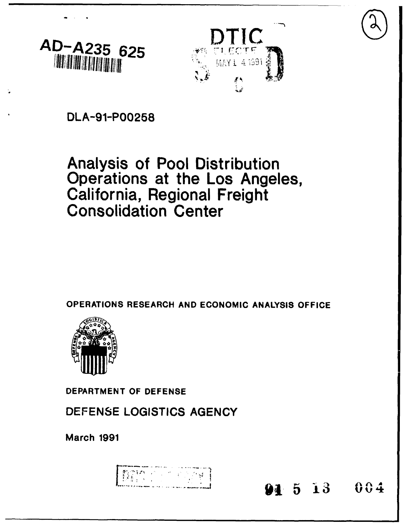



**DLA-91-P00258**

# Analysis of Pool Distribution Operations at the Los Angeles,<br>California, Regional Freight<br>Consolidation Center

OPERATIONS RESEARCH **AND ECONOMIC ANALYSIS OFFICE**



DEPARTMENT OF **DEFENSE**

**DEFENSE LOGISTICS AGENCY**

March **1991**

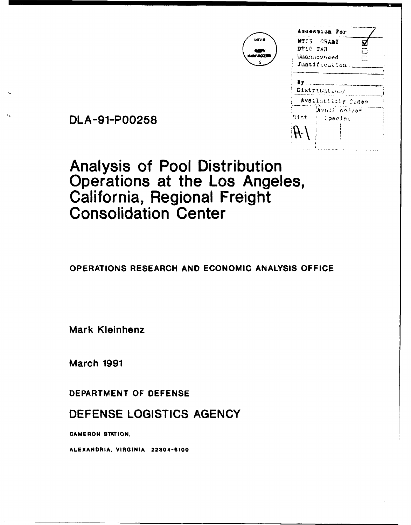|          | WIIS GRAAI                             |   |
|----------|----------------------------------------|---|
| DTIC TAB |                                        |   |
|          | Unannovnund                            | Μ |
|          | Justification                          |   |
|          |                                        |   |
|          |                                        |   |
|          | Distribution/                          |   |
|          | Availability Scdes                     |   |
|          | $\overline{\text{A}}\text{val}$ and/or |   |
| teiC     | Special                                |   |
|          |                                        |   |
|          |                                        |   |

**DATE** 

DLA-91-P00258

Analysis of Pool Distribution Operations at the Los Angeles, California, Regional Freight Consolidation Center

**OPERATIONS** RESEARCH **AND ECONOMIC ANALYSIS OFFICE**

Mark Kleinhenz

March **1991**

DEPARTMENT OF **DEFENSE**

**DEFENSE LOGISTICS AGENCY**

**CAMERON STATION.**

**ALEXANDRIA.** VIRGINIA 22304-8100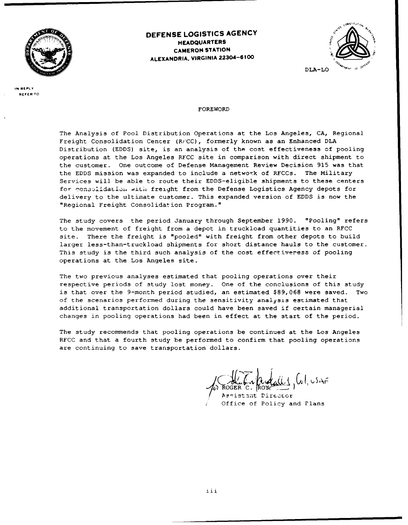

# **DEFENSE LOGISTICS AGENCY HEADQUARTERS CAMERON STATION ALEXANDRIA, VIRGINIA 22304-6100**



**IN REPLY REFER TO**

#### FOREWORD

The Analysis of Pool Distribution Operations at the Los Angeles, CA, Regional Freight Consolidation Center (Rr'CC), formerly known as an Enhanced DLA Distribution (EDDS) site, is an analysis of the cost effectiveness of pooling operations at the Los Angeles RFCC site in comparison with direct shipment to the customer. One outcome of Defense Management Review Decision 915 was that the EDDS mission was expanded to include a network of RFCCs. The Military Services will be able to route their EDDS-eligible shipments to these centers for ,onjilidati)i **with** freight from the Defense Logistics Agency depots for delivery to the ultimate customer. This expanded version of EDDS is now the "Regional Freight Consolidation Program."

The study covers the period January through September 1990. "Pooling" refers to the movement of freight from a depot in truckload quantities to an RFCC site. There the freight is "pooled" with freight from other depots to build larger less-than-truckload shipments for short distance hauls to the customer. This study is the third such analysis of the cost effectiveress of pooling operations at the Los Angeles site.

The two previous analyses estimated that pooling operations over their respective periods of study lost money. One of the conclusions of this study is that over the 9-month period studied, an estimated \$89,068 were saved. Two of the scenarios performed during the sensitivity analysis estimated that additional transportation dollars could have been saved if certain managerial changes in pooling operations had been in effect at the start of the period.

The study recommends that pooling operations be continued at the Los Angeles RFCC and that a fourth study be performed to confirm that pooling operations are continuing to save transportation dollars.

Aggistant Director Office of Policy and Plans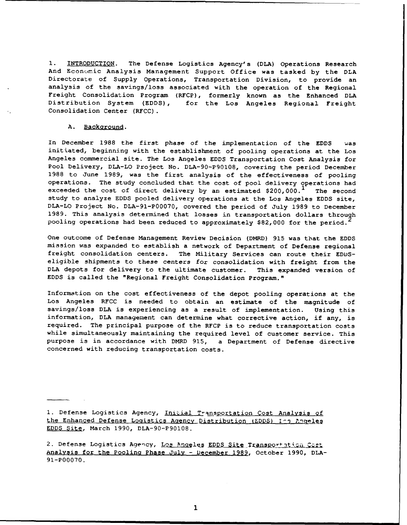**1.** INTRODUCTION. The Defense Logistics Agency's (DLA) Operations Research And Economic Analysis Management Support Office was tasked by the DLA Directorate of Supply Operations, Transportation Division, to provide an analysis of the savings/loss associated with the operation of the Regional Freight Consolidation Program (RFCP), formerly known as the Enhanced DLA Distribution System (EDDS), for the Los Angeles Regional Freight Consolidation Center (RFCC).

#### A. Background.

In December 1988 the first phase of the implementation of the EDDS was initiated, beginning with the establishment of pooling operations at the Los Angeles commercial site. The Los Angeles EDDS Transportation Cost Analysis for Pool Delivery, DLA-LO Project No. DLA-90-P90108, covering the period December 1988 to June 1989, was the first analysis of the effectiveness of pooling operations. The study concluded that the cost of pool delivery operations had exceeded the cost of direct delivery by an estimated  $$200,000.^{\text{T}}$  The second study to analyze EDDS pooled delivery operations at the Los Angeles EDDS site, DLA-LO Project No. DLA-91-P00070, covered the period of July 1989 to December 1989. This analysis determined that losses in transportation dollars through pooling operations had been reduced to approximately \$82,000 for the period.

One outcome of Defense Management Review Decision (DMRD) 915 was that the EDDS mission was expanded to establish a network of Department of Defense regional freight consolidation centers. The Military Services can route their EDDSeligible shipments to these centers for consolidation with freight from the DLA depots for delivery to the ultimate customer. This expanded version of EDDS is called the "Regional Freight Consolidation Program."

Information on the cost effectiveness of the depot pooling operations at the Los Angeles RFCC is needed to obtain an estimate of the magnitude of savings/loss DLA is experiencing as a result of implementation. Using this information, DLA management can determine what corrective action, if any, is required. The principal purpose of the RFCP is to reduce transportation costs while simultaneously maintaining the required level of customer service. This purpose is in accordance with DMRD 915, a Department of Defense directive concerned with reducing transportation costs.

1. Defense Logistics Agency, Initial Transportation Cost Analysis of the Enhanced Defense Logistics Agency Distribution (EDDS) I-3 Angeles **EDD\$** Site, March 1990, DLA-90-P90108.

2. Defense Logistics Agency, Los Angeles EDDS Site Transportation Cost Analysis for the Pooling Phase July - December 1989, October 1990, DLA-91-P00070.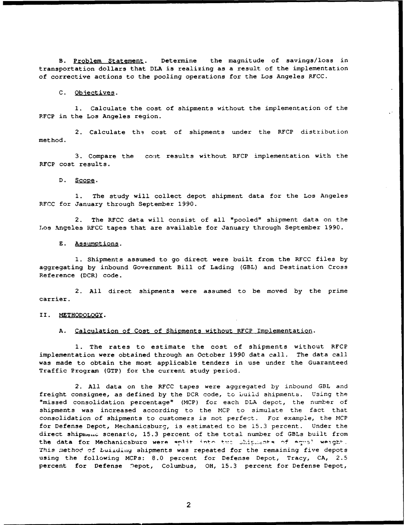B. Problem Statement. Determine the magnitude of savings/loss in transportation dollars that **DLA** is realizing as a result of the implementation of corrective actions to the pooling operations for the Los Angeles RFCC.

#### **C.** Objectives.

**1.** Calculate the cost of shipments without the implementation of the RFCP in the Los Angeles region.

2. Calculate the cost of shipments under the RFCP distribution method.

**3.** Compare the **coit** results without RFCP implementation with the RFCP cost results.

### **D. Sope.**

**1.** The study will collect depot shipment data for the Los Angeles RFCC for January through September **1990.**

2. The RFCC data will consist of all "pooled" shipment data on the Los Angeles RFCC tapes that are available for January through September **1990.**

## **E.** Assumptions.

**1.** Shipments assumed to go direct were built from the RFCC files **by** aggregating **by** inbound Government Bill of Lading (GBL) and Destination Cross Reference (DCR) code.

2. **All** direct shipments were assumed to be moved **by** the prime carrier.

#### II. METHODOLOGY.

#### **A.** Calculation of Cost of Shipments without RFCP Implementation.

**1.** The rates to estimate the cost of shipments without RFCP implementation were obtained through an October 1990 data call. The data call was made to obtain the most applicable tenders in use under the Guaranteed Traffic Program (GTP) for the current study period.

2. **All** data on the RFCC tapes were aggregated by inbound GBL and freight consignee, as defined by the DCR code, to build shipments. Using the "missed consolidation percentage" (MCP) for each DLA depot, the number of shipments was increased according to the MCP to simulate the fact that consolidation of shipments to customers is not perfect. For example, the MCP for Defense Depot, Mechanicsburg, is estimated to be 15.3 percent. Under the direct shipment scenario, 15.3 percent of the total number of GBLs built from the data for Mechanicsbura were aplit into two shipmenta of equal weight. This method of building shipments was repeated for the remaining five depots using the following MCPs: 8.0 percent for Defense Depot, Tracy, CA, 2.5 percent for Defense Depot, Columbus, OH, 15.3 percent for Defense Depot,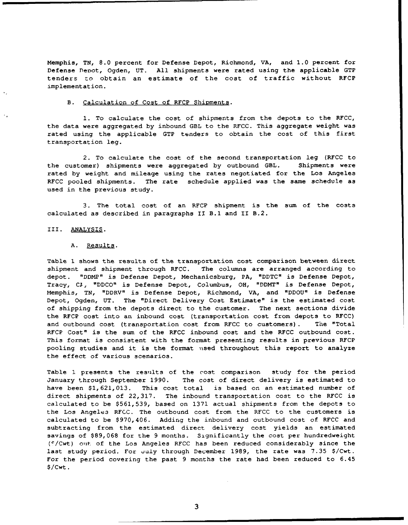Memphis, **TN, 8.0** percent for Defense Depot, Richmond, VA, and **1.0** percent for Defense Depot, Ogden, **UT. All** shipments were rated using the applicable GTP tenders zo obtain an estimate of the cost of traffic without RFCP implementation.

## B. Calculation of Cost of RFCP Shipments.

**1.** To calculate the cost of shipments from the depots to the RFCC, the data were aggregated by inbound GBL to the RFCC. This aggregate weight was rated using the applicable GTP tenders to obtain the cost of this first transportation leg.

2. To calculate the cost of the second transportation leg (RFCC to the customer) shipments were aggregated by outbound GBL. Shipments were rated by weight and mileage using the rates negotiated for the Los Angeles RFCC pooled shipments. The rate schedule applied was the same schedule as used in the previous study.

3. The total cost of an RFCP shipment is the sum of the costs calculated as described in paragraphs II B.1 and II B.2.

#### III. ANALYSIS.

#### A. Results.

Table **1** shows the results of the transportation cost comparison between direct shipment and shipment through RFCC. The columns are arranged according to depot. "DDMP" is Defense Depot, Mechanicsburg, PA, "DDTC" is Defense Depot, Tracy, **Cl-,** "DDCO" is Defense Depot, Columbus, OH, "DDMT" is Defense Depot, Memphis, TN, "DDRV" is Defense Depot, Richmond, VA, and "DDOU" is Defense Depot, Ogden, UT. The "Direct Delivery Cost Estimate" is the estimated cost of shipping from the depots direct to the customer. The next sections divide the RFCP cost into an inbound cost (transportation cost from depots to RFCC) and outbound cost (transportation cost from RFCC to customers) . The "Total RFCP Cost" is the sum of the RFCC inbound cost and the RFCC outbound cost. This format is consistent with the format presenting results in previous RFCP pooling studies and it is the format vised throughout this report to analyze the effect of various scenarios.

Table 1 presents the results of the cost comparison study for the period January through September 1990. The cost of direct delivery is estimated to have been \$1,621,013. This cost total is based on an estimated number of direct shipments of 22,317. The inbound transportation cost to the RFCC is calculated to be \$561,539, based on 1371 actual shipments from the depots to the Los Angele3 RFCC. The outbound cost from the RFCC to the customers is calculated to be \$970,406. Adding the inbound and outbound cost of RFCC and subtracting from the estimated direct delivery cost yields an estimated savings of \$89,068 for the 9 months. Significantly the cost per hundredweight (C/Cwt) out-, of the Los Angeles RFCC has been reduced considerably since the last study period. For July through December 1989, the rate was 7.35 \$/Cwt. For the period covering the past 9 months the rate had been reduced to 6.45 \$/Cwt.

**3**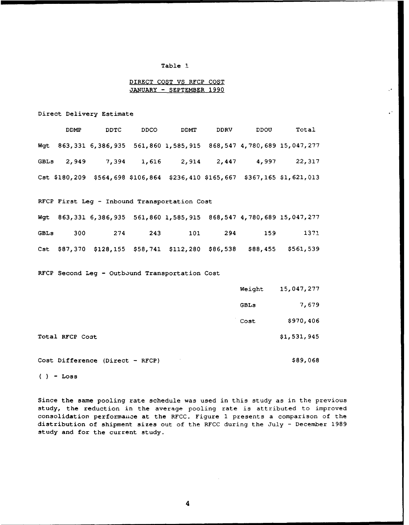### Table **1**

## DIRECT COST VS RFCP **COST JANUARY -** SEPTEMBER 1990

Direct Delivery Estimate

| <b>DDMP</b> | DDTC | DDCO | DDMT | DDRV | DDOU | Total                                                                       |
|-------------|------|------|------|------|------|-----------------------------------------------------------------------------|
|             |      |      |      |      |      | Wgt 863,331 6,386,935 561,860 1,585,915 868,547 4,780,689 15,047,277        |
|             |      |      |      |      |      | GBLs 2,949 7,394 1,616 2,914 2,447 4,997 22,317                             |
|             |      |      |      |      |      | Cst \$180,209 \$564,698 \$106,864 \$236,410 \$165,667 \$367,165 \$1,621,013 |

## RFCP First Leg - Inbound Transportation Cost

|      |  |                 |                 | Wgt 863,331 6,386,935 561,860 1,585,915 868,547 4,780,689 15,047,277  |
|------|--|-----------------|-----------------|-----------------------------------------------------------------------|
| GBLs |  | 300 274 243 101 | 294 2012<br>159 | 1371                                                                  |
|      |  |                 |                 | Cst \$87,370 \$128,155 \$58,741 \$112,280 \$86,538 \$88,455 \$561,539 |

## RFCP Second Leg - Outbound Transportation Cost

|                 | Weight | 15,047,277  |
|-----------------|--------|-------------|
|                 | GBLs   | 7,679       |
|                 | Cost   | \$970,406   |
| Total RFCP Cost |        | \$1,531,945 |

Cost Difference (Direct - RFCP)  $$89,068$ 

**( ) -** Loss

Since the same pooling rate schedule was used in this study as in the previous study, the reduction in the average pooling rate is attributed to improved consolidation performance at the RFCC. Figure 1 presents a comparison of the distribution of shipment sizes out of the RFCC during the July **-** December **1989** study and for the current study.

 $\overline{\mathbf{A}}$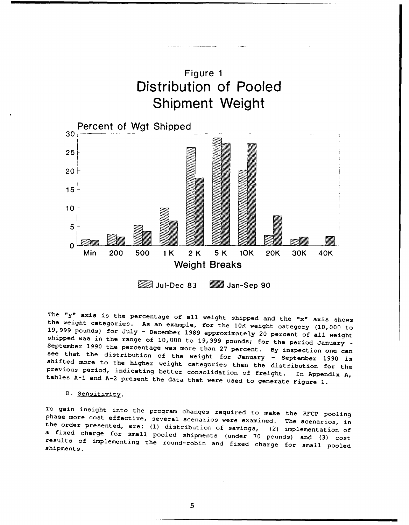

M Jul-Dec 83 Jan-Sep 90

The "y" axis is the percentage of all weight shipped and the "x" axis shows<br>the weight categories. As an example, for the 10K weight category (10,000 to<br>19,999 pounds) for July - December 1989 approximately 20 percent of shifted more to the higher weight categories than the distribution for the<br>previous period, indicating better consolidation of freight. In Appendix A,<br>tables A-1 and A-2 present the data that were used to generate Figure 1

## B. Sensitivity.

To gain insight into the program changes required to make the RFCP pooling<br>phase more cost effective, several scenarios were examined. The scenarios, in<br>the order presented, are: (1) distribution of savings, (2) implementa a fixed charge for small pooled shipments (under 70 pounds) and (3) cost results of implementing the round-robin and fixed charge for small pooled shipments.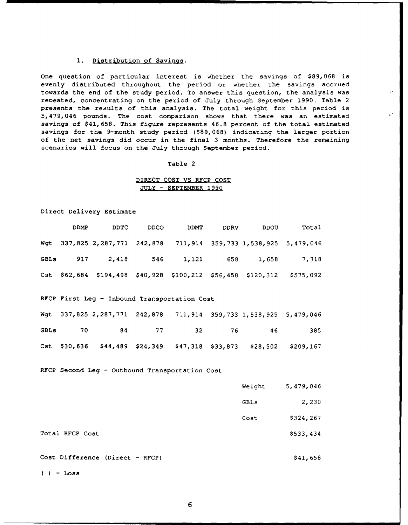#### 1. Distribution of Savings.

One question of particular interest is whether the savings of \$89,068 is evenly distributed throughout the period or whether the savings accrued towards the end of the study period. To answer this question, the analysis was reneated, concentrating on the period of July through September 1990. Table 2 presents the results of this analysis. The total weight for this period is 5,479,046 pounds. The cost comparison shows that there was an estimated savings of \$41,658. This figure represents 46.8 percent of the total estimated savings for the 9-month study period (\$89,068) indicating the larger portion of the net savings did occur in the final 3 months. Therefore the remaining scenarios will focus on the July through September period.

#### Table 2

## DIRECT COST **VS** RFCP COST **JULY -** SEPTEMBER **1990**

Direct Delivery Estimate

| DDMP | DDTC | DDCO | <b>DDMT</b> | <b>DDRV</b> | DDOU                                                         | Total                                                             |
|------|------|------|-------------|-------------|--------------------------------------------------------------|-------------------------------------------------------------------|
|      |      |      |             |             |                                                              | Wgt 337,825 2,287,771 242,878 711,914 359,733 1,538,925 5,479,046 |
|      |      |      |             |             |                                                              | GBLs 917 2,418 546 1,121 658 1,658 7,318                          |
|      |      |      |             |             | Cst \$62,684 \$194,498 \$40,928 \$100,212 \$56,458 \$120,312 | \$575,092                                                         |
|      |      |      |             |             |                                                              |                                                                   |

## RFCP First Leg **-** Inbound Transportation Cost

|  |  |  | Wgt 337,825 2,287,771 242,878 711,914 359,733 1,538,925 5,479,046   |     |
|--|--|--|---------------------------------------------------------------------|-----|
|  |  |  | GBLs 70 84 77 32 76 46                                              | 385 |
|  |  |  | Cst \$30,636 \$44,489 \$24,349 \$47,318 \$33,873 \$28,502 \$209,167 |     |

RFCP Second Leg - Outbound Transportation Cost

| Weight | 5,479,046 |
|--------|-----------|
| GBLs   | 2,230     |
| Cost   | \$324,267 |
|        | \$533,434 |
|        |           |

Cost Difference (Direct - RFCP) \$41,658

**-** Loss

Total RFCP Cost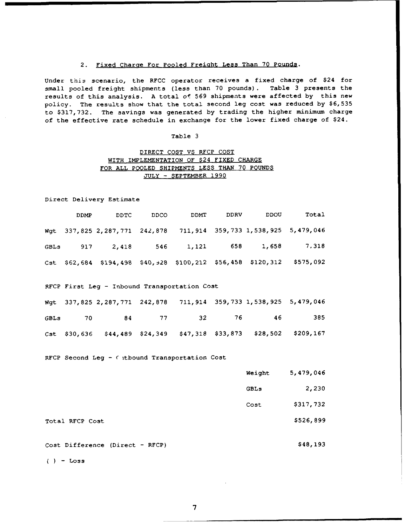## 2. Fixed Charge For Pooled FreiQht Less Than **70** Pounds.

Under this scenario, the RFCC operator receives a fixed charge of \$24 for small pooled freight shipments (less than **70** pounds). Table **3** presents the results of this analysis. **A** total of **569** shipments were affected **by** this new policy. The results show that the total second leg cost was reduced **by \$6,535** to **\$317,732.** The savings was generated **by** trading the higher minimum charge of the effective rate schedule in exchange for the lower fixed charge of \$24.

#### Table **3**

## DIRECT **COST** VS RFCP COST WITH IMPLEMENTATION OF \$24 FIXED CHARGE FOR **ALL** POOLED SHIPMENTS **LESS THAN 70 POUNDS JULY** - SEPTEMBER **1990**

Direct Delivery Estimate

| <b>DDMP</b>     | <b>DDTC</b>                                      | <b>DDCO</b> | DDMT | <b>DDRV</b> | DDOU                                                              | Total                                                                   |
|-----------------|--------------------------------------------------|-------------|------|-------------|-------------------------------------------------------------------|-------------------------------------------------------------------------|
|                 |                                                  |             |      |             | Wgt 337,825 2,287,771 242,878 711,914 359,733 1,538,925 5,479,046 |                                                                         |
|                 |                                                  |             |      |             |                                                                   | GBLs 917 2,418 546 1,121 658 1,658 7,318                                |
|                 |                                                  |             |      |             |                                                                   | Cst \$62,684 \$194,498 \$40, +28 \$100,212 \$56,458 \$120,312 \$575,092 |
|                 | RFCP First Leg - Inbound Transportation Cost     |             |      |             |                                                                   |                                                                         |
|                 |                                                  |             |      |             | wgt 337,825 2,287,771 242,878 711,914 359,733 1,538,925 5,479,046 |                                                                         |
|                 | GBLs 70 84 77 32                                 |             |      |             | 76 46                                                             | 385                                                                     |
|                 |                                                  |             |      |             |                                                                   | Cst \$30,636 \$44,489 \$24,349 \$47,318 \$33,873 \$28,502 \$209,167     |
|                 | RFCP Second Leg - ( it bound Transportation Cost |             |      |             |                                                                   |                                                                         |
|                 |                                                  |             |      |             | Weight                                                            | 5,479,046                                                               |
|                 |                                                  |             |      |             | GBLs                                                              | 2,230                                                                   |
|                 |                                                  |             |      |             | Cost                                                              | \$317,732                                                               |
| Total RFCP Cost |                                                  |             |      |             |                                                                   | \$526,899                                                               |
|                 | Cost Difference (Direct - RFCP)                  |             |      |             |                                                                   | \$48,193                                                                |

 $()$  - Loss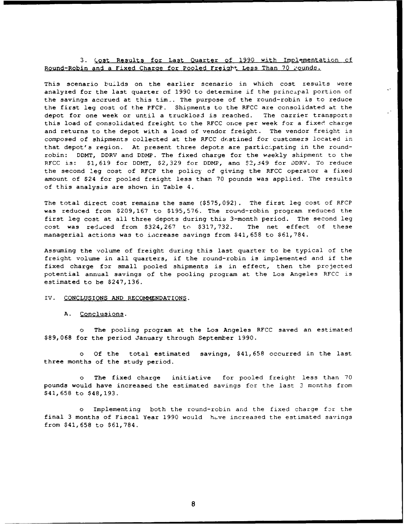## 3. Cost Results for Last Quarter of 1990 with Implementation of Round-Robin and a Fixed Charge for Pooled Freight Less Than 70 Pounds.

This scenario builds on the earlier scenario in which cost results were analyzed for the last quarter of 1990 to determine if the principal portion of the savings accrued at this tim-. The purpose of the round-robin is to reduce the first leg cost of the PFCP. Shipments to the RFCC are consolidated at the depot for one week or until a truckload is reached. The carrier transports this load of consolidated freight to the RFCC once per week for a fixed charge and returns to the depot with a load of vendor freight. The vendor freight is composed of shipments collected at the RFCC destined for customers located in that depot's region. At present three depots are participating in the roundrobin: DDMT, DDRV and DDMP. The fixed charge for the weekly shipment to the RFCC is: \$1,619 for DDMT, \$2,329 for DDMP, and \$2,349 for DDRV. To reduce the second leg cost of RFCP the policy of giving the RFCC operator a fixed amount of \$24 for pooled freight less than 70 pounds was applied. The results of this analysis are shown in Table 4.

The total direct cost remains the same (\$575,092). The first leg cost of RFCP was reduced from \$209,167 to \$195,576. The round-robin program reduced the first leg cost at all three depots during this 3-month period. The second leg cost was reduced from \$324,267 to \$317,732. The net effect of these managerial actions was to iacrease savings from \$41,658 to \$61,784.

Assuming the volume of freight during this last quarter to be typical of the freight volume in all quarters, if the round-robin is implemented and if the fixed charge for small pooled shipments is in effect, then the projected potential annual savings of the pooling program at the Los Angeles RFCC is estimated to be \$247,136.

#### IV. CONCLUSIONS **AND** RECOMMENDATIONS.

#### A. Conclusions.

o The pooling program at the Los Angeles RFCC saved an estimated \$89,068 for the period January through September 1990.

Of the total estimated savings, \$41,658 occurred in the last three months of the study period.

o The fixed charge initiative for pooled freight less than 70 pounds would have increased the estimated savings for the last **3** months from \$41,658 to \$48,193.

Implementing both the round-robin and the fixed charge for the final 3 months of Fiscal Year 1990 would have increased the estimated savings from \$41,658 to \$61,784.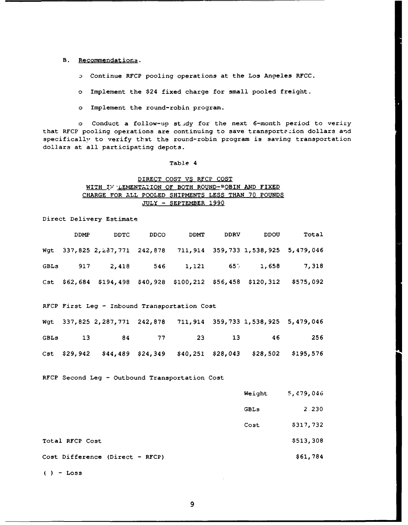## B. Recommendations.

**D** Continue RFCP pooling operations at the Los Angeles RFCC.

o Implement the \$24 fixed charge for small pooled freight.

o Implement the round-robin program.

o Conduct a follow-up study for the next 6-month period to veriry that RFCP pooling operations are continuing to save transportation dollars and specifically, to verify that the round-robin program is saving transportation dollars at all participating depots.

#### Table 4

## DIRECT COST **VS** RFCP COST WITH **IW** 'LEMENTATION OF BOTH **ROUND-** OBIN **AND** FIXED CHARGE FOR ALL POOLED SHIPMENTS **LESS THAN 70 POUNDS JULY -** SEPTEMBER **1990**

Direct Delivery Estimate

| DDMP | DDTC.                                                              | <b>DDCO</b> | DDMT | <b>DDRV</b> | DDOU                                                              | Total     |
|------|--------------------------------------------------------------------|-------------|------|-------------|-------------------------------------------------------------------|-----------|
|      |                                                                    |             |      |             | Wgt 337,825 2,237,771 242,878 711,914 359,733 1,538,925 5,479,046 |           |
|      |                                                                    |             |      |             | GBLs 917 2,418 546 1,121 656 1,658 7,318                          |           |
|      | Cst $$62,684$ $$194,498$ $$40,928$ $$100,212$ $$56,458$ $$120,312$ |             |      |             |                                                                   | \$575,092 |
|      |                                                                    |             |      |             |                                                                   |           |

## RFCP First Leg **-** Inbound Transportation Cost

|  |  |  | Wgt 337,825 2,287,771 242,878 711,914 359,733 1,538,925 5,479,046   |  |
|--|--|--|---------------------------------------------------------------------|--|
|  |  |  | GBLs 13 84 77 23 13 46 256                                          |  |
|  |  |  | Cst \$29,942 \$44,489 \$24,349 \$40,251 \$28,043 \$28,502 \$195,576 |  |

RFCP Second Leg **-** Outbound Transportation Cost

|                                 | Weight | 5,479,046 |
|---------------------------------|--------|-----------|
|                                 | GBLs   | 2.230     |
|                                 | Cost   | \$317,732 |
| Total RFCP Cost                 |        | \$513,308 |
| Cost Difference (Direct - RFCP) |        | \$61,784  |

 $()$  - Loss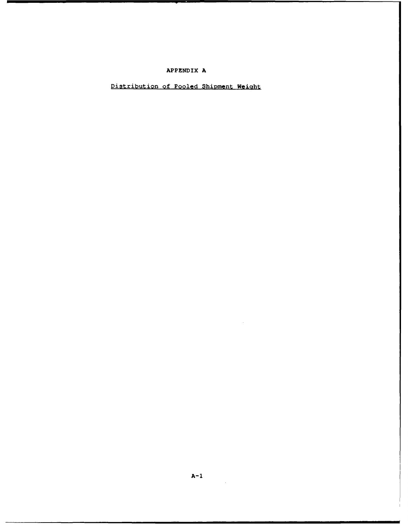# APPENDIX **A**

# Distribution of Pooled Shipment Weight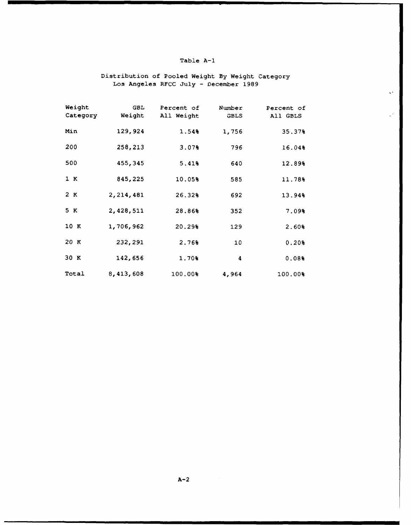# Table A-I

# Distribution of Pooled Weight By Weight Category Los Angeles RFCC July - December 1989

 $\ddot{\phantom{a}}$ 

| Weight<br>Category | <b>GBL</b><br>Weight | Percent of<br>All Weight | Number<br><b>GBLS</b> | Percent of<br>All GBLS |
|--------------------|----------------------|--------------------------|-----------------------|------------------------|
| Min                | 129,924              | 1.54%                    | 1,756                 | 35.37%                 |
| 200                | 258,213              | 3.07%                    | 796                   | 16.04%                 |
| 500                | 455,345              | 5.41%                    | 640                   | 12.89%                 |
| 1 K                | 845,225              | 10.05%                   | 585                   | 11.78%                 |
| 2 K                | 2,214,481            | 26.32%                   | 692                   | 13.94%                 |
| 5 K                | 2,428,511            | 28.86%                   | 352                   | 7.09%                  |
| 10 K               | 1,706,962            | 20.29%                   | 129                   | 2.60%                  |
| 20K                | 232,291              | 2.76%                    | 10                    | 0.20%                  |
| 30 K               | 142,656              | 1.70%                    | 4                     | 0.08%                  |
| Total              | 8,413,608            | 100.00%                  | 4,964                 | 100.00%                |

 $A-2$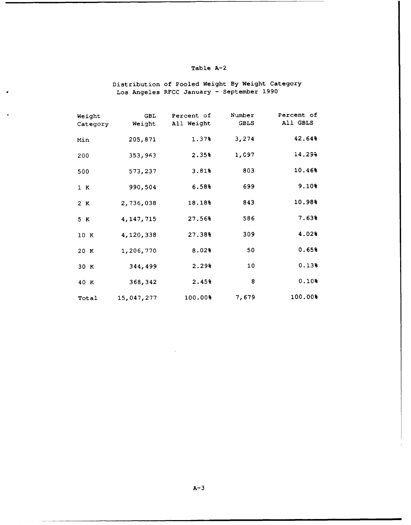## Table **A-2**

Distribution of Pooled Weight By Weight Category Los Angeles RFCC January - September 1990

| Weight<br>Category | GBL<br>Weight | Percent of<br>All Weight | Number<br><b>GBLS</b> | Percent of<br>All GBLS |
|--------------------|---------------|--------------------------|-----------------------|------------------------|
| Min                | 205,871       | 1.37%                    | 3,274                 | 42.64%                 |
| 200                | 353,963       | 2.35%                    | 1,097                 | 14.29%                 |
| 500                | 573,237       | 3.81%                    | 803                   | 10.46%                 |
| 1 K                | 990,504       | 6.58%                    | 699                   | 9.10%                  |
| 2 K                | 2,736,038     | 18.18%                   | 843                   | 10.98%                 |
| 5 K                | 4, 147, 715   | 27.56%                   | 586                   | 7.63%                  |
| 10 K               | 4,120,338     | 27.38%                   | 309                   | 4.02%                  |
| 20 K               | 1,206,770     | 8.02%                    | 50                    | 0.65%                  |
| 30 K               | 344,499       | 2.29%                    | 10                    | 0.13%                  |
| 40 K               | 368,342       | 2.45%                    | 8                     | 0.10%                  |
| Total              | 15,047,277    | 100.00%                  | 7,679                 | 100.00%                |